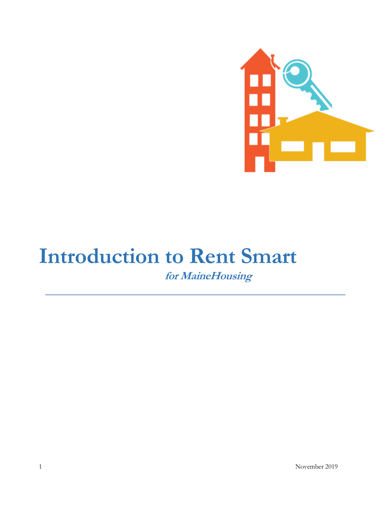

# **Introduction to Rent Smart for MaineHousing**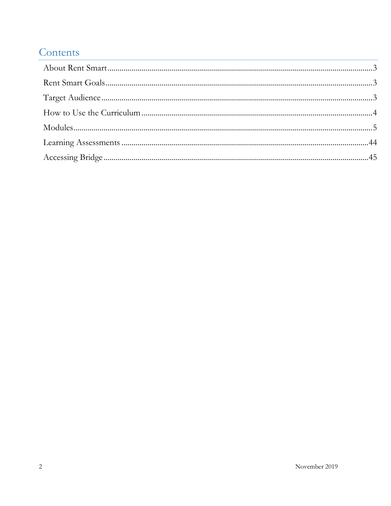## Contents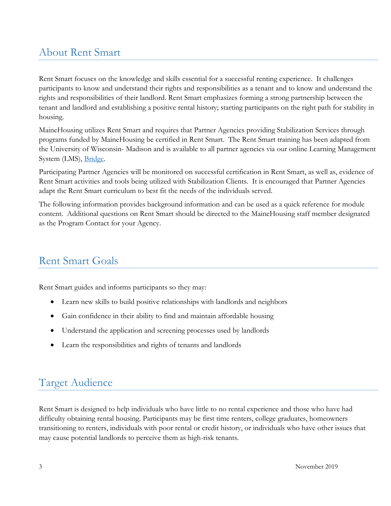## <span id="page-2-0"></span>About Rent Smart

Rent Smart focuses on the knowledge and skills essential for a successful renting experience. It challenges participants to know and understand their rights and responsibilities as a tenant and to know and understand the rights and responsibilities of their landlord. Rent Smart emphasizes forming a strong partnership between the tenant and landlord and establishing a positive rental history; starting participants on the right path for stability in housing.

MaineHousing utilizes Rent Smart and requires that Partner Agencies providing Stabilization Services through programs funded by MaineHousing be certified in Rent Smart. The Rent Smart training has been adapted from the University of Wisconsin- Madison and is available to all partner agencies via our online Learning Management System (LMS), [Bridge.](https://mainehmis-mainehousing.bridgeapp.com/)

Participating Partner Agencies will be monitored on successful certification in Rent Smart, as well as, evidence of Rent Smart activities and tools being utilized with Stabilization Clients. It is encouraged that Partner Agencies adapt the Rent Smart curriculum to best fit the needs of the individuals served.

The following information provides background information and can be used as a quick reference for module content. Additional questions on Rent Smart should be directed to the MaineHousing staff member designated as the Program Contact for your Agency.

## <span id="page-2-1"></span>Rent Smart Goals

Rent Smart guides and informs participants so they may:

- Learn new skills to build positive relationships with landlords and neighbors
- Gain confidence in their ability to find and maintain affordable housing
- Understand the application and screening processes used by landlords
- Learn the responsibilities and rights of tenants and landlords

## <span id="page-2-2"></span>Target Audience

Rent Smart is designed to help individuals who have little to no rental experience and those who have had difficulty obtaining rental housing. Participants may be first time renters, college graduates, homeowners transitioning to renters, individuals with poor rental or credit history, or individuals who have other issues that may cause potential landlords to perceive them as high-risk tenants.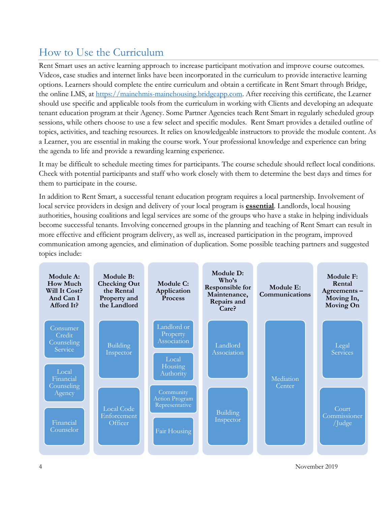## <span id="page-3-0"></span>How to Use the Curriculum

Rent Smart uses an active learning approach to increase participant motivation and improve course outcomes. Videos, case studies and internet links have been incorporated in the curriculum to provide interactive learning options. Learners should complete the entire curriculum and obtain a certificate in Rent Smart through Bridge, the online LMS, at [https://mainehmis-mainehousing.bridgeapp.com.](https://mainehmis-mainehousing.bridgeapp.com/) After receiving this certificate, the Learner should use specific and applicable tools from the curriculum in working with Clients and developing an adequate tenant education program at their Agency. Some Partner Agencies teach Rent Smart in regularly scheduled group sessions, while others choose to use a few select and specific modules. Rent Smart provides a detailed outline of topics, activities, and teaching resources. It relies on knowledgeable instructors to provide the module content. As a Learner, you are essential in making the course work. Your professional knowledge and experience can bring the agenda to life and provide a rewarding learning experience.

It may be difficult to schedule meeting times for participants. The course schedule should reflect local conditions. Check with potential participants and staff who work closely with them to determine the best days and times for them to participate in the course.

In addition to Rent Smart, a successful tenant education program requires a local partnership. Involvement of local service providers in design and delivery of your local program is **essential**. Landlords, local housing authorities, housing coalitions and legal services are some of the groups who have a stake in helping individuals become successful tenants. Involving concerned groups in the planning and teaching of Rent Smart can result in more effective and efficient program delivery, as well as, increased participation in the program, improved communication among agencies, and elimination of duplication. Some possible teaching partners and suggested topics include:



4 November 2019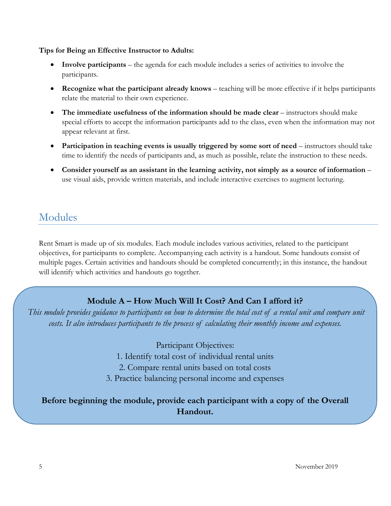#### **Tips for Being an Effective Instructor to Adults:**

- **Involve participants** the agenda for each module includes a series of activities to involve the participants.
- **Recognize what the participant already knows** teaching will be more effective if it helps participants relate the material to their own experience.
- **The immediate usefulness of the information should be made clear** instructors should make special efforts to accept the information participants add to the class, even when the information may not appear relevant at first.
- **Participation in teaching events is usually triggered by some sort of need instructors should take** time to identify the needs of participants and, as much as possible, relate the instruction to these needs.
- **Consider yourself as an assistant in the learning activity, not simply as a source of information** use visual aids, provide written materials, and include interactive exercises to augment lecturing.

## <span id="page-4-0"></span>Modules

Rent Smart is made up of six modules. Each module includes various activities, related to the participant objectives, for participants to complete. Accompanying each activity is a handout. Some handouts consist of multiple pages. Certain activities and handouts should be completed concurrently; in this instance, the handout will identify which activities and handouts go together.

## **Module A – How Much Will It Cost? And Can I afford it?**

*This module provides guidance to participants on how to determine the total cost of a rental unit and compare unit costs. It also introduces participants to the process of calculating their monthly income and expenses.* 

Participant Objectives:

1. Identify total cost of individual rental units

2. Compare rental units based on total costs

3. Practice balancing personal income and expenses

**Before beginning the module, provide each participant with a copy of the Overall Handout.**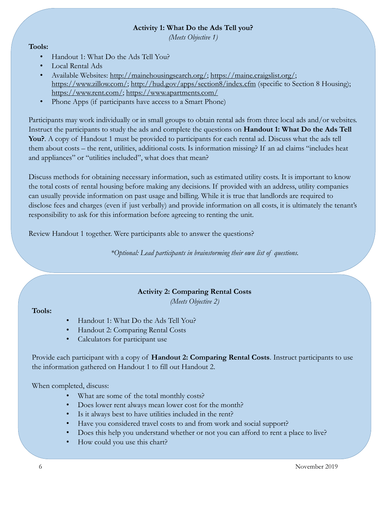#### **Activity 1: What Do the Ads Tell you?**

*(Meets Objective 1)*

#### **Tools:**

- Handout 1: What Do the Ads Tell You?
- Local Rental Ads
- Available Websites: [http://mainehousingsearch.org/;](http://mainehousingsearch.org/) [https://maine.craigslist.org/;](https://maine.craigslist.org/) [https://www.zillow.com/;](https://www.zillow.com/)<http://hud.gov/apps/section8/index.cfm> (specific to Section 8 Housing); [https://www.rent.com/;](https://www.rent.com/)<https://www.apartments.com/>
- Phone Apps (if participants have access to a Smart Phone)

Participants may work individually or in small groups to obtain rental ads from three local ads and/or websites. Instruct the participants to study the ads and complete the questions on **Handout 1: What Do the Ads Tell You?**. A copy of Handout 1 must be provided to participants for each rental ad. Discuss what the ads tell them about costs – the rent, utilities, additional costs. Is information missing? If an ad claims "includes heat and appliances" or "utilities included", what does that mean?

Discuss methods for obtaining necessary information, such as estimated utility costs. It is important to know the total costs of rental housing before making any decisions. If provided with an address, utility companies can usually provide information on past usage and billing. While it is true that landlords are required to disclose fees and charges (even if just verbally) and provide information on all costs, it is ultimately the tenant's responsibility to ask for this information before agreeing to renting the unit.

Review Handout 1 together. Were participants able to answer the questions?

*\*Optional: Lead participants in brainstorming their own list of questions.*

#### **Activity 2: Comparing Rental Costs**

*(Meets Objective 2)*

#### **Tools:**

- Handout 1: What Do the Ads Tell You?
- Handout 2: Comparing Rental Costs
- Calculators for participant use

Provide each participant with a copy of **Handout 2: Comparing Rental Costs**. Instruct participants to use the information gathered on Handout 1 to fill out Handout 2.

When completed, discuss:

- What are some of the total monthly costs?
- Does lower rent always mean lower cost for the month?
- Is it always best to have utilities included in the rent?
- Have you considered travel costs to and from work and social support?
- Does this help you understand whether or not you can afford to rent a place to live?
- How could you use this chart?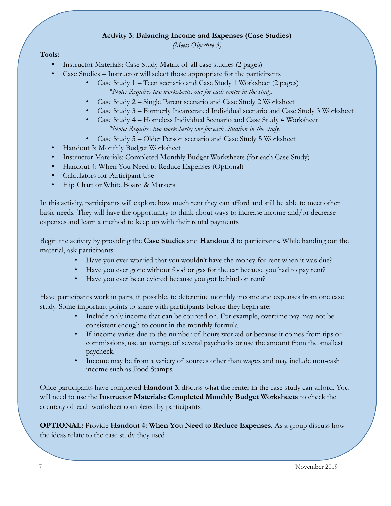#### **Activity 3: Balancing Income and Expenses (Case Studies)**

*(Meets Objective 3)*

#### **Tools:**

- Instructor Materials: Case Study Matrix of all case studies (2 pages)
- Case Studies Instructor will select those appropriate for the participants
	- Case Study 1 Teen scenario and Case Study 1 Worksheet (2 pages)  *\*Note: Requires two worksheets; one for each renter in the study.*
	- Case Study 2 Single Parent scenario and Case Study 2 Worksheet
	- Case Study 3 Formerly Incarcerated Individual scenario and Case Study 3 Worksheet
	- Case Study 4 Homeless Individual Scenario and Case Study 4 Worksheet *\*Note: Requires two worksheets; one for each situation in the study.*
	- Case Study 5 Older Person scenario and Case Study 5 Worksheet
- Handout 3: Monthly Budget Worksheet
- Instructor Materials: Completed Monthly Budget Worksheets (for each Case Study)
- Handout 4: When You Need to Reduce Expenses (Optional)
- Calculators for Participant Use
- Flip Chart or White Board & Markers

In this activity, participants will explore how much rent they can afford and still be able to meet other basic needs. They will have the opportunity to think about ways to increase income and/or decrease expenses and learn a method to keep up with their rental payments.

Begin the activity by providing the **Case Studies** and **Handout 3** to participants. While handing out the material, ask participants:

- Have you ever worried that you wouldn't have the money for rent when it was due?
- Have you ever gone without food or gas for the car because you had to pay rent?
- Have you ever been evicted because you got behind on rent?

Have participants work in pairs, if possible, to determine monthly income and expenses from one case study. Some important points to share with participants before they begin are:

- Include only income that can be counted on. For example, overtime pay may not be consistent enough to count in the monthly formula.
- If income varies due to the number of hours worked or because it comes from tips or commissions, use an average of several paychecks or use the amount from the smallest paycheck.
- Income may be from a variety of sources other than wages and may include non-cash income such as Food Stamps.

Once participants have completed **Handout 3**, discuss what the renter in the case study can afford. You will need to use the **Instructor Materials: Completed Monthly Budget Worksheets** to check the accuracy of each worksheet completed by participants.

**OPTIONAL:** Provide **Handout 4: When You Need to Reduce Expenses***.* As a group discuss how the ideas relate to the case study they used.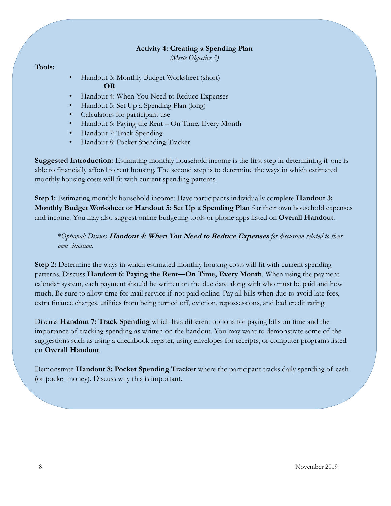#### **Activity 4: Creating a Spending Plan**

*(Meets Objective 3)*

#### **Tools:**

- Handout 3: Monthly Budget Worksheet (short) **OR**
- Handout 4: When You Need to Reduce Expenses
- Handout 5: Set Up a Spending Plan (long)
- Calculators for participant use
- Handout 6: Paying the Rent On Time, Every Month
- Handout 7: Track Spending
- Handout 8: Pocket Spending Tracker

**Suggested Introduction:** Estimating monthly household income is the first step in determining if one is able to financially afford to rent housing. The second step is to determine the ways in which estimated monthly housing costs will fit with current spending patterns.

**Step 1:** Estimating monthly household income: Have participants individually complete **Handout 3: Monthly Budget Worksheet or Handout 5: Set Up a Spending Plan** for their own household expenses and income. You may also suggest online budgeting tools or phone apps listed on **Overall Handout**.

\**Optional: Discuss* **Handout 4: When You Need to Reduce Expenses** *for discussion related to their own situation.*

**Step 2:** Determine the ways in which estimated monthly housing costs will fit with current spending patterns. Discuss **Handout 6: Paying the Rent—On Time, Every Month**. When using the payment calendar system, each payment should be written on the due date along with who must be paid and how much. Be sure to allow time for mail service if not paid online. Pay all bills when due to avoid late fees, extra finance charges, utilities from being turned off, eviction, repossessions, and bad credit rating.

Discuss **Handout 7: Track Spending** which lists different options for paying bills on time and the importance of tracking spending as written on the handout. You may want to demonstrate some of the suggestions such as using a checkbook register, using envelopes for receipts, or computer programs listed on **Overall Handout***.*

Demonstrate **Handout 8: Pocket Spending Tracker** where the participant tracks daily spending of cash (or pocket money). Discuss why this is important.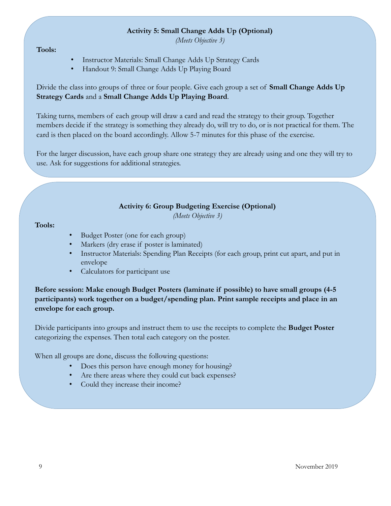#### **Activity 5: Small Change Adds Up (Optional)**

*(Meets Objective 3)*

**Tools:**

- Instructor Materials: Small Change Adds Up Strategy Cards
- Handout 9: Small Change Adds Up Playing Board

Divide the class into groups of three or four people. Give each group a set of **Small Change Adds Up Strategy Cards** and a **Small Change Adds Up Playing Board**.

Taking turns, members of each group will draw a card and read the strategy to their group. Together members decide if the strategy is something they already do, will try to do, or is not practical for them. The card is then placed on the board accordingly. Allow 5-7 minutes for this phase of the exercise.

For the larger discussion, have each group share one strategy they are already using and one they will try to use. Ask for suggestions for additional strategies.

#### **Activity 6: Group Budgeting Exercise (Optional)**

*(Meets Objective 3)*

**Tools:**

- Budget Poster (one for each group)
- Markers (dry erase if poster is laminated)
- Instructor Materials: Spending Plan Receipts (for each group, print cut apart, and put in envelope
- Calculators for participant use

**Before session: Make enough Budget Posters (laminate if possible) to have small groups (4-5 participants) work together on a budget/spending plan. Print sample receipts and place in an envelope for each group.**

Divide participants into groups and instruct them to use the receipts to complete the **Budget Poster**  categorizing the expenses. Then total each category on the poster.

When all groups are done, discuss the following questions:

- Does this person have enough money for housing?
- Are there areas where they could cut back expenses?
- Could they increase their income?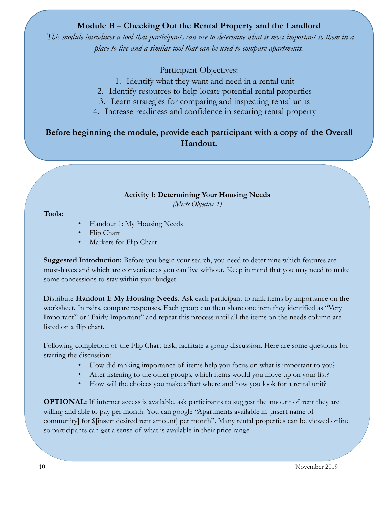## **Module B – Checking Out the Rental Property and the Landlord**

*This module introduces a tool that participants can use to determine what is most important to them in a place to live and a similar tool that can be used to compare apartments.*

Participant Objectives:

- 1. Identify what they want and need in a rental unit
- 2. Identify resources to help locate potential rental properties
- 3. Learn strategies for comparing and inspecting rental units
- 4. Increase readiness and confidence in securing rental property

## **Before beginning the module, provide each participant with a copy of the Overall Handout.**

### **Activity 1: Determining Your Housing Needs**

*(Meets Objective 1)*

#### **Tools:**

- Handout 1: My Housing Needs
- Flip Chart
- Markers for Flip Chart

**Suggested Introduction:** Before you begin your search, you need to determine which features are must-haves and which are conveniences you can live without. Keep in mind that you may need to make some concessions to stay within your budget.

Distribute **Handout 1: My Housing Needs.** Ask each participant to rank items by importance on the worksheet. In pairs, compare responses. Each group can then share one item they identified as "Very Important" or "Fairly Important" and repeat this process until all the items on the needs column are listed on a flip chart.

Following completion of the Flip Chart task, facilitate a group discussion. Here are some questions for starting the discussion:

- How did ranking importance of items help you focus on what is important to you?
- After listening to the other groups, which items would you move up on your list?
- How will the choices you make affect where and how you look for a rental unit?

**OPTIONAL:** If internet access is available, ask participants to suggest the amount of rent they are willing and able to pay per month. You can google "Apartments available in [insert name of community] for \$[insert desired rent amount] per month". Many rental properties can be viewed online so participants can get a sense of what is available in their price range.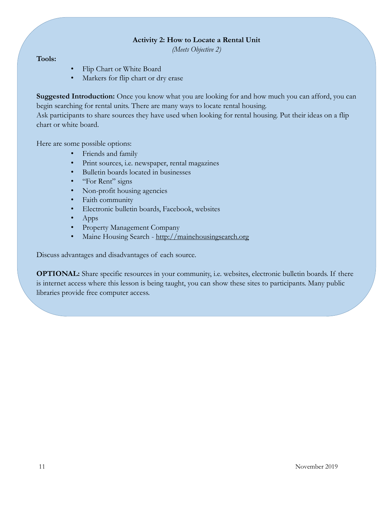#### **Activity 2: How to Locate a Rental Unit**

*(Meets Objective 2)*

#### **Tools:**

- Flip Chart or White Board
- Markers for flip chart or dry erase

**Suggested Introduction:** Once you know what you are looking for and how much you can afford, you can begin searching for rental units. There are many ways to locate rental housing.

Ask participants to share sources they have used when looking for rental housing. Put their ideas on a flip chart or white board.

Here are some possible options:

- Friends and family
- Print sources, i.e. newspaper, rental magazines
- Bulletin boards located in businesses
- "For Rent" signs
- Non-profit housing agencies
- Faith community
- Electronic bulletin boards, Facebook, websites
- Apps
- Property Management Company
- Maine Housing Search [http://mainehousingsearch.org](http://mainehousingsearch.org/)

Discuss advantages and disadvantages of each source.

**OPTIONAL:** Share specific resources in your community, i.e. websites, electronic bulletin boards. If there is internet access where this lesson is being taught, you can show these sites to participants. Many public libraries provide free computer access.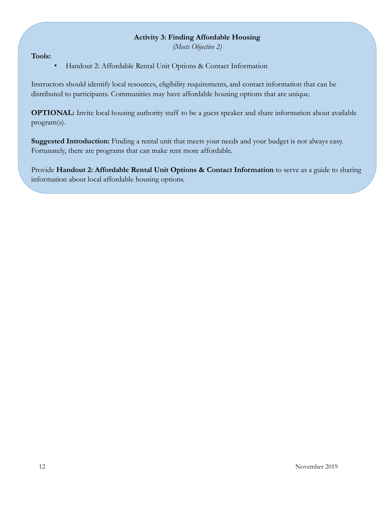#### **Activity 3: Finding Affordable Housing**

*(Meets Objective 2)*

**Tools:**

• Handout 2: Affordable Rental Unit Options & Contact Information

Instructors should identify local resources, eligibility requirements, and contact information that can be distributed to participants. Communities may have affordable housing options that are unique.

**OPTIONAL:** Invite local housing authority staff to be a guest speaker and share information about available program(s).

**Suggested Introduction:** Finding a rental unit that meets your needs and your budget is not always easy. Fortunately, there are programs that can make rent more affordable.

Provide Handout 2: Affordable Rental Unit Options & Contact Information to serve as a guide to sharing information about local affordable housing options.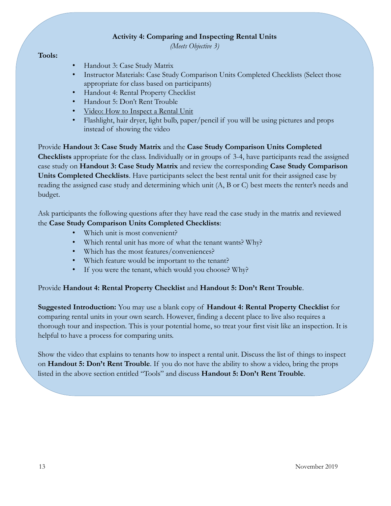#### **Activity 4: Comparing and Inspecting Rental Units**

*(Meets Objective 3)*

#### **Tools:**

- Handout 3: Case Study Matrix
- Instructor Materials: Case Study Comparison Units Completed Checklists (Select those appropriate for class based on participants)
- Handout 4: Rental Property Checklist
- Handout 5: Don't Rent Trouble
- [Video: How to Inspect a Rental Unit](https://youtu.be/srTnJGBD52Y)
- Flashlight, hair dryer, light bulb, paper/pencil if you will be using pictures and props instead of showing the video

Provide **Handout 3: Case Study Matrix** and the **Case Study Comparison Units Completed Checklists** appropriate for the class. Individually or in groups of 3-4, have participants read the assigned case study on **Handout 3: Case Study Matrix** and review the corresponding **Case Study Comparison Units Completed Checklists**. Have participants select the best rental unit for their assigned case by reading the assigned case study and determining which unit (A, B or C) best meets the renter's needs and budget.

Ask participants the following questions after they have read the case study in the matrix and reviewed the **Case Study Comparison Units Completed Checklists**:

- Which unit is most convenient?
- Which rental unit has more of what the tenant wants? Why?
- Which has the most features/conveniences?
- Which feature would be important to the tenant?
- If you were the tenant, which would you choose? Why?

#### Provide **Handout 4: Rental Property Checklist** and **Handout 5: Don't Rent Trouble**.

**Suggested Introduction:** You may use a blank copy of **Handout 4: Rental Property Checklist** for comparing rental units in your own search. However, finding a decent place to live also requires a thorough tour and inspection. This is your potential home, so treat your first visit like an inspection. It is helpful to have a process for comparing units.

Show the video that explains to tenants how to inspect a rental unit. Discuss the list of things to inspect on **Handout 5: Don't Rent Trouble**. If you do not have the ability to show a video, bring the props listed in the above section entitled "Tools" and discuss **Handout 5: Don't Rent Trouble**.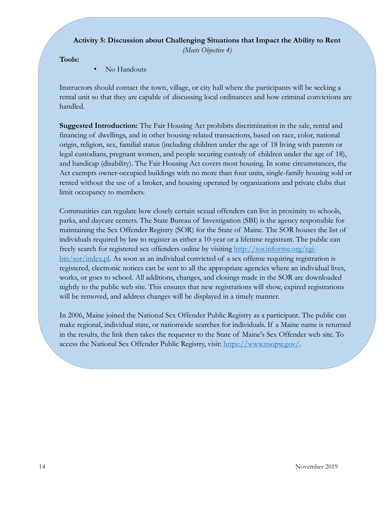#### **Activity 5: Discussion about Challenging Situations that Impact the Ability to Rent**

*(Meets Objective 4)*

**Tools:**

• No Handouts

Instructors should contact the town, village, or city hall where the participants will be seeking a rental unit so that they are capable of discussing local ordinances and how criminal convictions are handled.

**Suggested Introduction:** The Fair Housing Act prohibits discrimination in the sale, rental and financing of dwellings, and in other housing-related transactions, based on race, color, national origin, religion, sex, familial status (including children under the age of 18 living with parents or legal custodians, pregnant women, and people securing custody of children under the age of 18), and handicap (disability). The Fair Housing Act covers most housing. In some circumstances, the Act exempts owner-occupied buildings with no more than four units, single-family housing sold or rented without the use of a broker, and housing operated by organizations and private clubs that limit occupancy to members.

Communities can regulate how closely certain sexual offenders can live in proximity to schools, parks, and daycare centers. The State Bureau of Investigation (SBI) is the agency responsible for maintaining the Sex Offender Registry (SOR) for the State of Maine. The SOR houses the list of individuals required by law to register as either a 10-year or a lifetime registrant. The public can freely [search for registered sex offenders](http://sor.informe.org/sor/) online by visiting [http://sor.informe.org/cgi](http://sor.informe.org/cgi-bin/sor/index.pl)[bin/sor/index.pl.](http://sor.informe.org/cgi-bin/sor/index.pl) As soon as an individual convicted of a sex offense requiring registration is registered, electronic notices can be sent to all the appropriate agencies where an individual lives, works, or goes to school. All additions, changes, and closings made in the SOR are downloaded nightly to the public web site. This ensures that new registrations will show, expired registrations will be removed, and address changes will be displayed in a timely manner.

In 2006, Maine joined the [National Sex Offender Public Registry](http://www.nsopr.gov/) as a participant. The public can make regional, individual state, or nationwide searches for individuals. If a Maine name is returned in the results, the link then takes the requester to the State of Maine's Sex Offender web site. To access the National Sex Offender Public Registry, visit: [https://www.nsopw.gov/.](https://www.nsopw.gov/)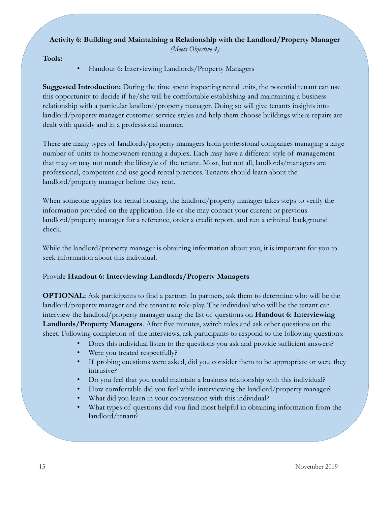## **Activity 6: Building and Maintaining a Relationship with the Landlord/Property Manager**

*(Meets Objective 4)*

**Tools:**

• Handout 6: Interviewing Landlords/Property Managers

**Suggested Introduction:** During the time spent inspecting rental units, the potential tenant can use this opportunity to decide if he/she will be comfortable establishing and maintaining a business relationship with a particular landlord/property manager. Doing so will give tenants insights into landlord/property manager customer service styles and help them choose buildings where repairs are dealt with quickly and in a professional manner.

There are many types of landlords/property managers from professional companies managing a large number of units to homeowners renting a duplex. Each may have a different style of management that may or may not match the lifestyle of the tenant. Most, but not all, landlords/managers are professional, competent and use good rental practices. Tenants should learn about the landlord/property manager before they rent.

When someone applies for rental housing, the landlord/property manager takes steps to verify the information provided on the application. He or she may contact your current or previous landlord/property manager for a reference, order a credit report, and run a criminal background check.

While the landlord/property manager is obtaining information about you, it is important for you to seek information about this individual.

## Provide **Handout 6: Interviewing Landlords/Property Managers**

**OPTIONAL:** Ask participants to find a partner. In partners, ask them to determine who will be the landlord/property manager and the tenant to role-play. The individual who will be the tenant can interview the landlord/property manager using the list of questions on **Handout 6: Interviewing Landlords/Property Managers**. After five minutes, switch roles and ask other questions on the sheet. Following completion of the interviews, ask participants to respond to the following questions:

- Does this individual listen to the questions you ask and provide sufficient answers?
- Were you treated respectfully?
- If probing questions were asked, did you consider them to be appropriate or were they intrusive?
- Do you feel that you could maintain a business relationship with this individual?
- How comfortable did you feel while interviewing the landlord/property manager?
- What did you learn in your conversation with this individual?
- What types of questions did you find most helpful in obtaining information from the landlord/tenant?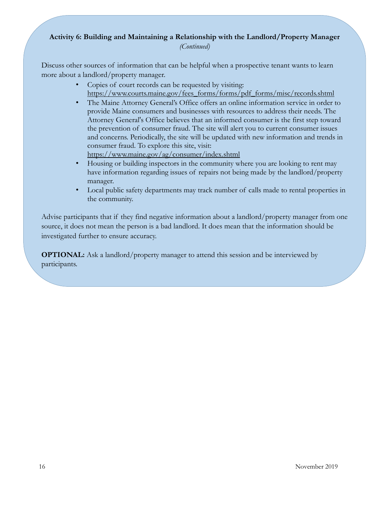### **Activity 6: Building and Maintaining a Relationship with the Landlord/Property Manager** *(Continued)*

Discuss other sources of information that can be helpful when a prospective tenant wants to learn more about a landlord/property manager.

- Copies of court records can be requested by visiting: [https://www.courts.maine.gov/fees\\_forms/forms/pdf\\_forms/misc/records.shtml](https://www.courts.maine.gov/fees_forms/forms/pdf_forms/misc/records.shtml)
- The Maine Attorney General's Office offers an online information service in order to provide Maine consumers and businesses with resources to address their needs. The Attorney General's Office believes that an informed consumer is the first step toward the prevention of consumer fraud. The site will alert you to current consumer issues and concerns. Periodically, the site will be updated with new information and trends in consumer fraud. To explore this site, visit: <https://www.maine.gov/ag/consumer/index.shtml>
- Housing or building inspectors in the community where you are looking to rent may have information regarding issues of repairs not being made by the landlord/property manager.
- Local public safety departments may track number of calls made to rental properties in the community.

Advise participants that if they find negative information about a landlord/property manager from one source, it does not mean the person is a bad landlord. It does mean that the information should be investigated further to ensure accuracy.

**OPTIONAL:** Ask a landlord/property manager to attend this session and be interviewed by participants.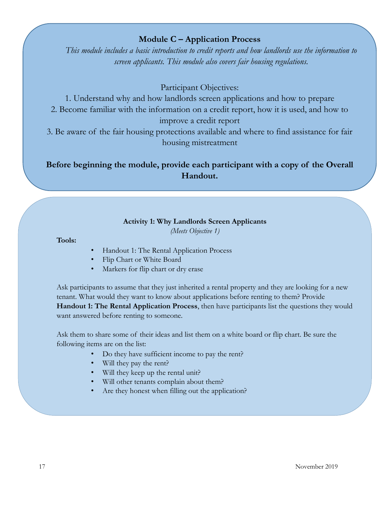### **Module C – Application Process**

*This module includes a basic introduction to credit reports and how landlords use the information to screen applicants. This module also covers fair housing regulations.*

### Participant Objectives:

- 1. Understand why and how landlords screen applications and how to prepare
- 2. Become familiar with the information on a credit report, how it is used, and how to

improve a credit report

3. Be aware of the fair housing protections available and where to find assistance for fair housing mistreatment

## **Before beginning the module, provide each participant with a copy of the Overall Handout.**

#### **Activity 1: Why Landlords Screen Applicants**

*(Meets Objective 1)*

#### **Tools:**

- Handout 1: The Rental Application Process
- Flip Chart or White Board
- Markers for flip chart or dry erase

Ask participants to assume that they just inherited a rental property and they are looking for a new tenant. What would they want to know about applications before renting to them? Provide **Handout 1: The Rental Application Process**, then have participants list the questions they would want answered before renting to someone.

Ask them to share some of their ideas and list them on a white board or flip chart. Be sure the following items are on the list:

- Do they have sufficient income to pay the rent?
- Will they pay the rent?
- Will they keep up the rental unit?
- Will other tenants complain about them?
- Are they honest when filling out the application?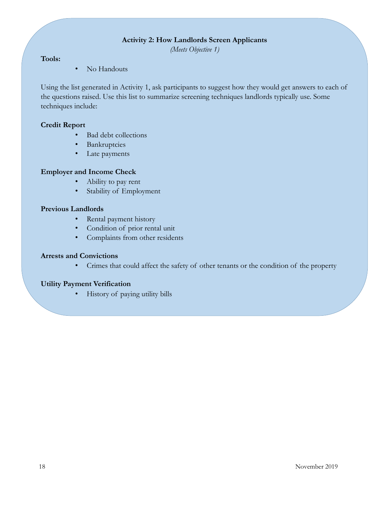#### **Activity 2: How Landlords Screen Applicants**

*(Meets Objective 1)*

#### **Tools:**

• No Handouts

Using the list generated in Activity 1, ask participants to suggest how they would get answers to each of the questions raised. Use this list to summarize screening techniques landlords typically use. Some techniques include:

#### **Credit Report**

- Bad debt collections
- Bankruptcies
- Late payments

#### **Employer and Income Check**

- Ability to pay rent
- Stability of Employment

#### **Previous Landlords**

- Rental payment history
- Condition of prior rental unit
- Complaints from other residents

#### **Arrests and Convictions**

• Crimes that could affect the safety of other tenants or the condition of the property

#### **Utility Payment Verification**

• History of paying utility bills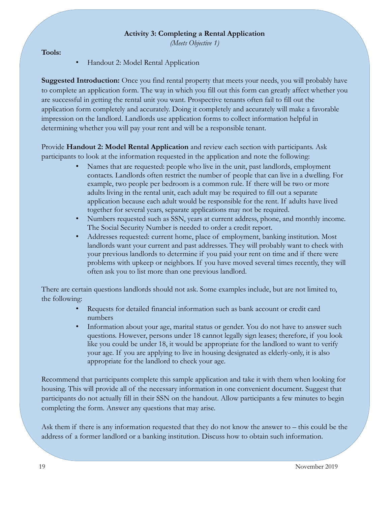#### **Activity 3: Completing a Rental Application**

*(Meets Objective 1)*

#### **Tools:**

• Handout 2: Model Rental Application

**Suggested Introduction:** Once you find rental property that meets your needs, you will probably have to complete an application form. The way in which you fill out this form can greatly affect whether you are successful in getting the rental unit you want. Prospective tenants often fail to fill out the application form completely and accurately. Doing it completely and accurately will make a favorable impression on the landlord. Landlords use application forms to collect information helpful in determining whether you will pay your rent and will be a responsible tenant.

Provide **Handout 2: Model Rental Application** and review each section with participants. Ask participants to look at the information requested in the application and note the following:

- Names that are requested: people who live in the unit, past landlords, employment contacts. Landlords often restrict the number of people that can live in a dwelling. For example, two people per bedroom is a common rule. If there will be two or more adults living in the rental unit, each adult may be required to fill out a separate application because each adult would be responsible for the rent. If adults have lived together for several years, separate applications may not be required.
- Numbers requested such as SSN, years at current address, phone, and monthly income. The Social Security Number is needed to order a credit report.
- Addresses requested: current home, place of employment, banking institution. Most landlords want your current and past addresses. They will probably want to check with your previous landlords to determine if you paid your rent on time and if there were problems with upkeep or neighbors. If you have moved several times recently, they will often ask you to list more than one previous landlord.

There are certain questions landlords should not ask. Some examples include, but are not limited to, the following:

- Requests for detailed financial information such as bank account or credit card numbers
- Information about your age, marital status or gender. You do not have to answer such questions. However, persons under 18 cannot legally sign leases; therefore, if you look like you could be under 18, it would be appropriate for the landlord to want to verify your age. If you are applying to live in housing designated as elderly-only, it is also appropriate for the landlord to check your age.

Recommend that participants complete this sample application and take it with them when looking for housing. This will provide all of the necessary information in one convenient document. Suggest that participants do not actually fill in their SSN on the handout. Allow participants a few minutes to begin completing the form. Answer any questions that may arise.

Ask them if there is any information requested that they do not know the answer to – this could be the address of a former landlord or a banking institution. Discuss how to obtain such information.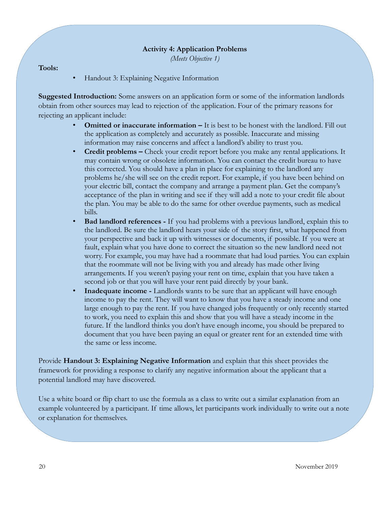#### **Activity 4: Application Problems**

*(Meets Objective 1)*

**Tools:**

• Handout 3: Explaining Negative Information

**Suggested Introduction:** Some answers on an application form or some of the information landlords obtain from other sources may lead to rejection of the application. Four of the primary reasons for rejecting an applicant include:

- **Omitted or inaccurate information –** It is best to be honest with the landlord. Fill out the application as completely and accurately as possible. Inaccurate and missing information may raise concerns and affect a landlord's ability to trust you.
- **Credit problems –** Check your credit report before you make any rental applications. It may contain wrong or obsolete information. You can contact the credit bureau to have this corrected. You should have a plan in place for explaining to the landlord any problems he/she will see on the credit report. For example, if you have been behind on your electric bill, contact the company and arrange a payment plan. Get the company's acceptance of the plan in writing and see if they will add a note to your credit file about the plan. You may be able to do the same for other overdue payments, such as medical bills.
- **Bad landlord references -** If you had problems with a previous landlord, explain this to the landlord. Be sure the landlord hears your side of the story first, what happened from your perspective and back it up with witnesses or documents, if possible. If you were at fault, explain what you have done to correct the situation so the new landlord need not worry. For example, you may have had a roommate that had loud parties. You can explain that the roommate will not be living with you and already has made other living arrangements. If you weren't paying your rent on time, explain that you have taken a second job or that you will have your rent paid directly by your bank.
- **Inadequate income -** Landlords wants to be sure that an applicant will have enough income to pay the rent. They will want to know that you have a steady income and one large enough to pay the rent. If you have changed jobs frequently or only recently started to work, you need to explain this and show that you will have a steady income in the future. If the landlord thinks you don't have enough income, you should be prepared to document that you have been paying an equal or greater rent for an extended time with the same or less income.

Provide **Handout 3: Explaining Negative Information** and explain that this sheet provides the framework for providing a response to clarify any negative information about the applicant that a potential landlord may have discovered.

Use a white board or flip chart to use the formula as a class to write out a similar explanation from an example volunteered by a participant. If time allows, let participants work individually to write out a note or explanation for themselves.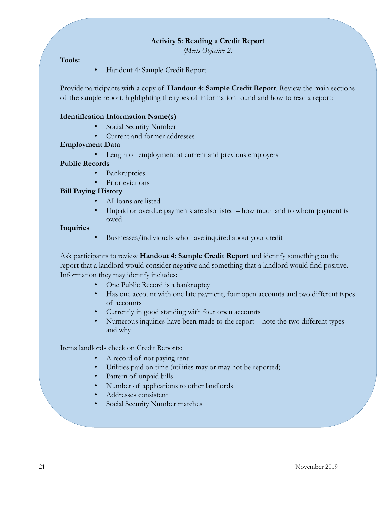#### **Activity 5: Reading a Credit Report**

*(Meets Objective 2)*

#### **Tools:**

• Handout 4: Sample Credit Report

Provide participants with a copy of **Handout 4: Sample Credit Report**. Review the main sections of the sample report, highlighting the types of information found and how to read a report:

#### **Identification Information Name(s)**

- Social Security Number
- Current and former addresses

#### **Employment Data**

Length of employment at current and previous employers

#### **Public Records**

- Bankruptcies
- Prior evictions

#### **Bill Paying History**

- All loans are listed
- Unpaid or overdue payments are also listed how much and to whom payment is owed

#### **Inquiries**

• Businesses/individuals who have inquired about your credit

Ask participants to review **Handout 4: Sample Credit Report** and identify something on the report that a landlord would consider negative and something that a landlord would find positive. Information they may identify includes:

- One Public Record is a bankruptcy
- Has one account with one late payment, four open accounts and two different types of accounts
- Currently in good standing with four open accounts
- Numerous inquiries have been made to the report note the two different types and why

Items landlords check on Credit Reports:

- A record of not paying rent
- Utilities paid on time (utilities may or may not be reported)
- Pattern of unpaid bills
- Number of applications to other landlords
- Addresses consistent
- Social Security Number matches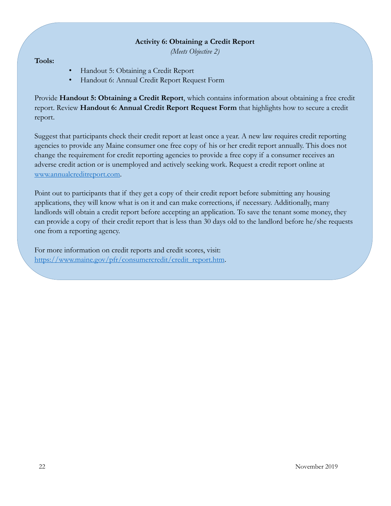#### **Activity 6: Obtaining a Credit Report**

*(Meets Objective 2)*

#### **Tools:**

- Handout 5: Obtaining a Credit Report
- Handout 6: Annual Credit Report Request Form

Provide **Handout 5: Obtaining a Credit Report**, which contains information about obtaining a free credit report. Review **Handout 6: Annual Credit Report Request Form** that highlights how to secure a credit report.

Suggest that participants check their credit report at least once a year. A new law requires credit reporting agencies to provide any Maine consumer one free copy of his or her credit report annually. This does not change the requirement for credit reporting agencies to provide a free copy if a consumer receives an adverse credit action or is unemployed and actively seeking work. Request a credit report online at [www.annualcreditreport.com.](http://www.annualcreditreport.com/)

Point out to participants that if they get a copy of their credit report before submitting any housing applications, they will know what is on it and can make corrections, if necessary. Additionally, many landlords will obtain a credit report before accepting an application. To save the tenant some money, they can provide a copy of their credit report that is less than 30 days old to the landlord before he/she requests one from a reporting agency.

For more information on credit reports and credit scores, visit: [https://www.maine.gov/pfr/consumercredit/credit\\_report.htm.](https://www.maine.gov/pfr/consumercredit/credit_report.htm)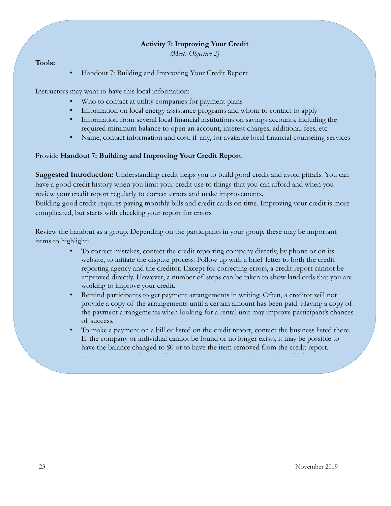#### **Activity 7: Improving Your Credit**

*(Meets Objective 2)*

#### **Tools:**

• Handout 7: Building and Improving Your Credit Report

Instructors may want to have this local information:

- Who to contact at utility companies for payment plans
- Information on local energy assistance programs and whom to contact to apply
- Information from several local financial institutions on savings accounts, including the required minimum balance to open an account, interest charges, additional fees, etc.
- Name, contact information and cost, if any, for available local financial counseling services

#### Provide **Handout 7: Building and Improving Your Credit Report**.

**Suggested Introduction:** Understanding credit helps you to build good credit and avoid pitfalls. You can have a good credit history when you limit your credit use to things that you can afford and when you review your credit report regularly to correct errors and make improvements.

Building good credit requires paying monthly bills and credit cards on time. Improving your credit is more complicated, but starts with checking your report for errors.

Review the handout as a group. Depending on the participants in your group, these may be important items to highlight:

- To correct mistakes, contact the credit reporting company directly, by phone or on its website, to initiate the dispute process. Follow up with a brief letter to both the credit reporting agency and the creditor. Except for correcting errors, a credit report cannot be improved directly. However, a number of steps can be taken to show landlords that you are working to improve your credit.
- Remind participants to get payment arrangements in writing. Often, a creditor will not provide a copy of the arrangements until a certain amount has been paid. Having a copy of the payment arrangements when looking for a rental unit may improve participant's chances of success.
- To make a payment on a bill or listed on the credit report, contact the business listed there. If the company or individual cannot be found or no longer exists, it may be possible to have the balance changed to \$0 or to have the item removed from the credit report. • Warn participants about credit repair schemes that promise miracles and often charge large

fees for very little work. Ask participants to share their experiences, if any, with credit repair

offers.<br>External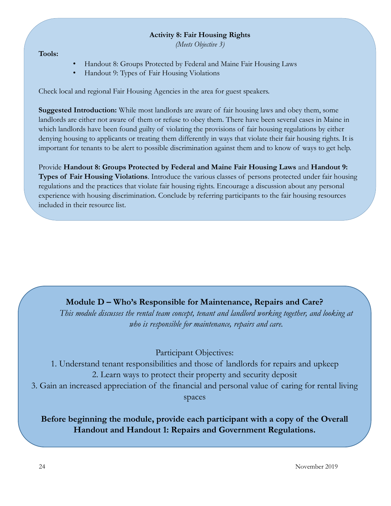#### **Activity 8: Fair Housing Rights**

*(Meets Objective 3)*

**Tools:**

- Handout 8: Groups Protected by Federal and Maine Fair Housing Laws
- Handout 9: Types of Fair Housing Violations

Check local and regional Fair Housing Agencies in the area for guest speakers.

**Suggested Introduction:** While most landlords are aware of fair housing laws and obey them, some landlords are either not aware of them or refuse to obey them. There have been several cases in Maine in which landlords have been found guilty of violating the provisions of fair housing regulations by either denying housing to applicants or treating them differently in ways that violate their fair housing rights. It is important for tenants to be alert to possible discrimination against them and to know of ways to get help.

Provide **Handout 8: Groups Protected by Federal and Maine Fair Housing Laws** and **Handout 9: Types of Fair Housing Violations**. Introduce the various classes of persons protected under fair housing regulations and the practices that violate fair housing rights. Encourage a discussion about any personal experience with housing discrimination. Conclude by referring participants to the fair housing resources included in their resource list.

## **Module D – Who's Responsible for Maintenance, Repairs and Care?**

*This module discusses the rental team concept, tenant and landlord working together, and looking at who is responsible for maintenance, repairs and care.* 

Participant Objectives:

1. Understand tenant responsibilities and those of landlords for repairs and upkeep 2. Learn ways to protect their property and security deposit 3. Gain an increased appreciation of the financial and personal value of caring for rental living spaces

**Before beginning the module, provide each participant with a copy of the Overall Handout and Handout 1: Repairs and Government Regulations.**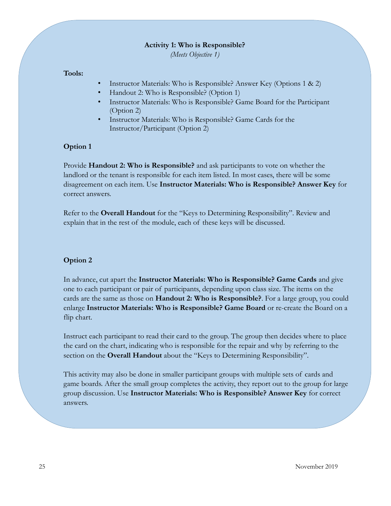#### **Activity 1: Who is Responsible?**

*(Meets Objective 1)*

#### **Tools:**

- Instructor Materials: Who is Responsible? Answer Key (Options 1 & 2)
- Handout 2: Who is Responsible? (Option 1)
- Instructor Materials: Who is Responsible? Game Board for the Participant (Option 2)
- Instructor Materials: Who is Responsible? Game Cards for the Instructor/Participant (Option 2)

#### **Option 1**

Provide **Handout 2: Who is Responsible?** and ask participants to vote on whether the landlord or the tenant is responsible for each item listed. In most cases, there will be some disagreement on each item. Use **Instructor Materials: Who is Responsible? Answer Key** for correct answers.

Refer to the **Overall Handout** for the "Keys to Determining Responsibility". Review and explain that in the rest of the module, each of these keys will be discussed.

#### **Option 2**

In advance, cut apart the **Instructor Materials: Who is Responsible? Game Cards** and give one to each participant or pair of participants, depending upon class size. The items on the cards are the same as those on **Handout 2: Who is Responsible?**. For a large group, you could enlarge **Instructor Materials: Who is Responsible? Game Board** or re-create the Board on a flip chart.

Instruct each participant to read their card to the group. The group then decides where to place the card on the chart, indicating who is responsible for the repair and why by referring to the section on the **Overall Handout** about the "Keys to Determining Responsibility".

This activity may also be done in smaller participant groups with multiple sets of cards and game boards. After the small group completes the activity, they report out to the group for large group discussion. Use **Instructor Materials: Who is Responsible? Answer Key** for correct answers.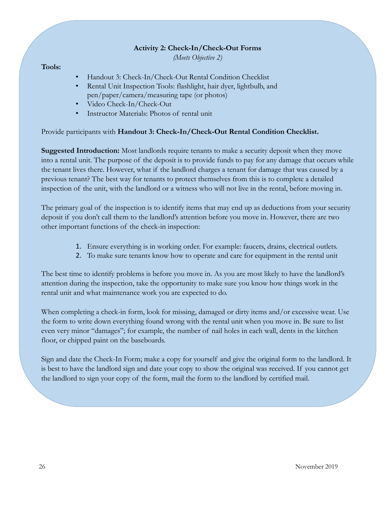#### **Activity 2: Check-In/Check-Out Forms**

*(Meets Objective 2)*

#### **Tools:**

- Handout 3: Check-In/Check-Out Rental Condition Checklist
- Rental Unit Inspection Tools: flashlight, hair dyer, lightbulb, and pen/paper/camera/measuring tape (or photos)
- Video Check-In/Check-Out
- Instructor Materials: Photos of rental unit

Provide participants with **Handout 3: Check-In/Check-Out Rental Condition Checklist.** 

**Suggested Introduction:** Most landlords require tenants to make a security deposit when they move into a rental unit. The purpose of the deposit is to provide funds to pay for any damage that occurs while the tenant lives there. However, what if the landlord charges a tenant for damage that was caused by a previous tenant? The best way for tenants to protect themselves from this is to complete a detailed inspection of the unit, with the landlord or a witness who will not live in the rental, before moving in.

The primary goal of the inspection is to identify items that may end up as deductions from your security deposit if you don't call them to the landlord's attention before you move in. However, there are two other important functions of the check-in inspection:

- 1. Ensure everything is in working order. For example: faucets, drains, electrical outlets.
- 2. To make sure tenants know how to operate and care for equipment in the rental unit

The best time to identify problems is before you move in. As you are most likely to have the landlord's attention during the inspection, take the opportunity to make sure you know how things work in the rental unit and what maintenance work you are expected to do.

When completing a check-in form, look for missing, damaged or dirty items and/or excessive wear. Use the form to write down everything found wrong with the rental unit when you move in. Be sure to list even very minor "damages"; for example, the number of nail holes in each wall, dents in the kitchen floor, or chipped paint on the baseboards.

Sign and date the Check-In Form; make a copy for yourself and give the original form to the landlord. It is best to have the landlord sign and date your copy to show the original was received. If you cannot get the landlord to sign your copy of the form, mail the form to the landlord by certified mail.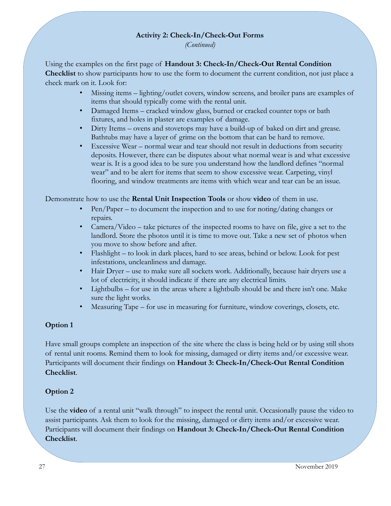#### **Activity 2: Check-In/Check-Out Forms**

*(Continued)*

Using the examples on the first page of **Handout 3: Check-In/Check-Out Rental Condition Checklist** to show participants how to use the form to document the current condition, not just place a check mark on it. Look for:

- Missing items lighting/outlet covers, window screens, and broiler pans are examples of items that should typically come with the rental unit.
- Damaged Items cracked window glass, burned or cracked counter tops or bath fixtures, and holes in plaster are examples of damage.
- Dirty Items ovens and stovetops may have a build-up of baked on dirt and grease. Bathtubs may have a layer of grime on the bottom that can be hard to remove.
- Excessive Wear normal wear and tear should not result in deductions from security deposits. However, there can be disputes about what normal wear is and what excessive wear is. It is a good idea to be sure you understand how the landlord defines "normal wear" and to be alert for items that seem to show excessive wear. Carpeting, vinyl flooring, and window treatments are items with which wear and tear can be an issue.

Demonstrate how to use the **Rental Unit Inspection Tools** or show **video** of them in use.

- Pen/Paper to document the inspection and to use for noting/dating changes or repairs.
- Camera/Video take pictures of the inspected rooms to have on file, give a set to the landlord. Store the photos until it is time to move out. Take a new set of photos when you move to show before and after.
- Flashlight to look in dark places, hard to see areas, behind or below. Look for pest infestations, uncleanliness and damage.
- Hair Dryer use to make sure all sockets work. Additionally, because hair dryers use a lot of electricity, it should indicate if there are any electrical limits.
- Lightbulbs for use in the areas where a lightbulb should be and there isn't one. Make sure the light works.
- Measuring Tape for use in measuring for furniture, window coverings, closets, etc.

#### **Option 1**

Have small groups complete an inspection of the site where the class is being held or by using still shots of rental unit rooms. Remind them to look for missing, damaged or dirty items and/or excessive wear. Participants will document their findings on **Handout 3: Check-In/Check-Out Rental Condition Checklist**.

#### **Option 2**

Use the **video** of a rental unit "walk through" to inspect the rental unit. Occasionally pause the video to assist participants. Ask them to look for the missing, damaged or dirty items and/or excessive wear. Participants will document their findings on **Handout 3: Check-In/Check-Out Rental Condition Checklist**.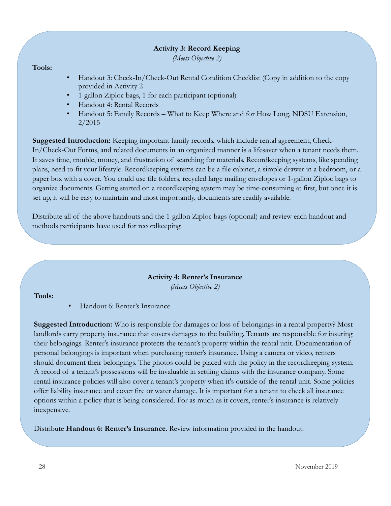#### **Activity 3: Record Keeping**

*(Meets Objective 2)*

#### **Tools:**

- Handout 3: Check-In/Check-Out Rental Condition Checklist (Copy in addition to the copy provided in Activity 2
- 1-gallon Ziploc bags, 1 for each participant (optional)
- Handout 4: Rental Records
- Handout 5: Family Records What to Keep Where and for How Long, NDSU Extension, 2/2015

**Suggested Introduction:** Keeping important family records, which include rental agreement, Check-In/Check-Out Forms, and related documents in an organized manner is a lifesaver when a tenant needs them. It saves time, trouble, money, and frustration of searching for materials. Recordkeeping systems, like spending plans, need to fit your lifestyle. Recordkeeping systems can be a file cabinet, a simple drawer in a bedroom, or a paper box with a cover. You could use file folders, recycled large mailing envelopes or 1-gallon Ziploc bags to organize documents. Getting started on a recordkeeping system may be time-consuming at first, but once it is set up, it will be easy to maintain and most importantly, documents are readily available.

Distribute all of the above handouts and the 1-gallon Ziploc bags (optional) and review each handout and methods participants have used for recordkeeping.

#### **Activity 4: Renter's Insurance**

*(Meets Objective 2)*

#### **Tools:**

• Handout 6: Renter's Insurance

**Suggested Introduction:** Who is responsible for damages or loss of belongings in a rental property? Most landlords carry property insurance that covers damages to the building. Tenants are responsible for insuring their belongings. Renter's insurance protects the tenant's property within the rental unit. Documentation of personal belongings is important when purchasing renter's insurance. Using a camera or video, renters should document their belongings. The photos could be placed with the policy in the recordkeeping system. A record of a tenant's possessions will be invaluable in settling claims with the insurance company. Some rental insurance policies will also cover a tenant's property when it's outside of the rental unit. Some policies offer liability insurance and cover fire or water damage. It is important for a tenant to check all insurance options within a policy that is being considered. For as much as it covers, renter's insurance is relatively inexpensive.

Distribute **Handout 6: Renter's Insurance**. Review information provided in the handout.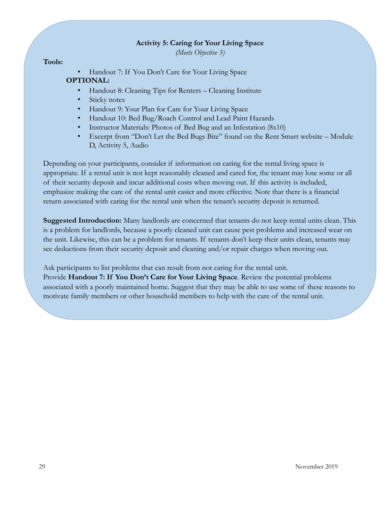#### **Activity 5: Caring for Your Living Space**

*(Meets Objective 3)*

#### **Tools:**

• Handout 7: If You Don't Care for Your Living Space **OPTIONAL:**

- Handout 8: Cleaning Tips for Renters Cleaning Institute
- Sticky notes
- Handout 9: Your Plan for Care for Your Living Space
- Handout 10: Bed Bug/Roach Control and Lead Paint Hazards
- Instructor Materials: Photos of Bed Bug and an Infestation (8x10)
- Excerpt from "Don't Let the Bed Bugs Bite" found on the Rent Smart website Module D, Activity 5, Audio

Depending on your participants, consider if information on caring for the rental living space is appropriate. If a rental unit is not kept reasonably cleaned and cared for, the tenant may lose some or all of their security deposit and incur additional costs when moving out. If this activity is included, emphasize making the care of the rental unit easier and more effective. Note that there is a financial return associated with caring for the rental unit when the tenant's security deposit is returned.

**Suggested Introduction:** Many landlords are concerned that tenants do not keep rental units clean. This is a problem for landlords, because a poorly cleaned unit can cause pest problems and increased wear on the unit. Likewise, this can be a problem for tenants. If tenants don't keep their units clean, tenants may see deductions from their security deposit and cleaning and/or repair charges when moving out.

Ask participants to list problems that can result from not caring for the rental unit. Provide **Handout 7: If You Don't Care for Your Living Space**. Review the potential problems associated with a poorly maintained home. Suggest that they may be able to use some of these reasons to motivate family members or other household members to help with the care of the rental unit.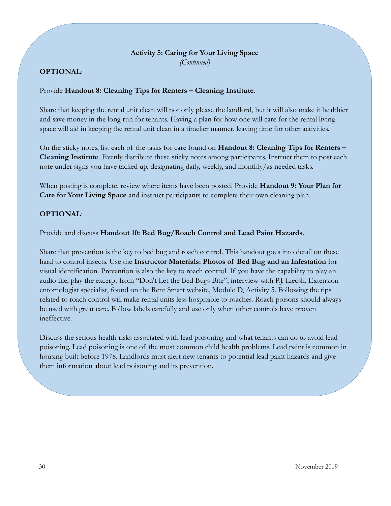## **Activity 5: Caring for Your Living Space**

*(Continued)*

### **OPTIONAL**:

#### Provide **Handout 8: Cleaning Tips for Renters – Cleaning Institute.**

Share that keeping the rental unit clean will not only please the landlord, but it will also make it healthier and save money in the long run for tenants. Having a plan for how one will care for the rental living space will aid in keeping the rental unit clean in a timelier manner, leaving time for other activities.

On the sticky notes, list each of the tasks for care found on **Handout 8: Cleaning Tips for Renters – Cleaning Institute**. Evenly distribute these sticky notes among participants. Instruct them to post each note under signs you have tacked up, designating daily, weekly, and monthly/as needed tasks.

When posting is complete, review where items have been posted. Provide **Handout 9: Your Plan for Care for Your Living Space** and instruct participants to complete their own cleaning plan.

#### **OPTIONAL**:

Provide and discuss **Handout 10: Bed Bug/Roach Control and Lead Paint Hazards**.

Share that prevention is the key to bed bug and roach control. This handout goes into detail on these hard to control insects. Use the **Instructor Materials: Photos of Bed Bug and an Infestation** for visual identification. Prevention is also the key to roach control. If you have the capability to play an audio file, play the excerpt from "Don't Let the Bed Bugs Bite", interview with P.J. Liecsh, Extension entomologist specialist, found on the Rent Smart website, Module D, Activity 5. Following the tips related to roach control will make rental units less hospitable to roaches. Roach poisons should always be used with great care. Follow labels carefully and use only when other controls have proven ineffective.

Discuss the serious health risks associated with lead poisoning and what tenants can do to avoid lead poisoning. Lead poisoning is one of the most common child health problems. Lead paint is common in housing built before 1978. Landlords must alert new tenants to potential lead paint hazards and give them information about lead poisoning and its prevention.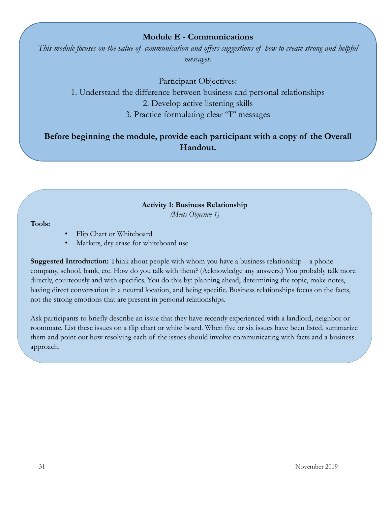#### **Module E - Communications**

*This module focuses on the value of communication and offers suggestions of how to create strong and helpful messages.*

Participant Objectives: 1. Understand the difference between business and personal relationships 2. Develop active listening skills 3. Practice formulating clear "I" messages

**Before beginning the module, provide each participant with a copy of the Overall Handout.**

#### **Activity 1: Business Relationship**

*(Meets Objective 1)*

#### **Tools:**

- Flip Chart or Whiteboard
- Markers, dry erase for whiteboard use

**Suggested Introduction:** Think about people with whom you have a business relationship – a phone company, school, bank, etc. How do you talk with them? (Acknowledge any answers.) You probably talk more directly, courteously and with specifics. You do this by: planning ahead, determining the topic, make notes, having direct conversation in a neutral location, and being specific. Business relationships focus on the facts, not the strong emotions that are present in personal relationships.

Ask participants to briefly describe an issue that they have recently experienced with a landlord, neighbor or roommate. List these issues on a flip chart or white board. When five or six issues have been listed, summarize them and point out how resolving each of the issues should involve communicating with facts and a business approach.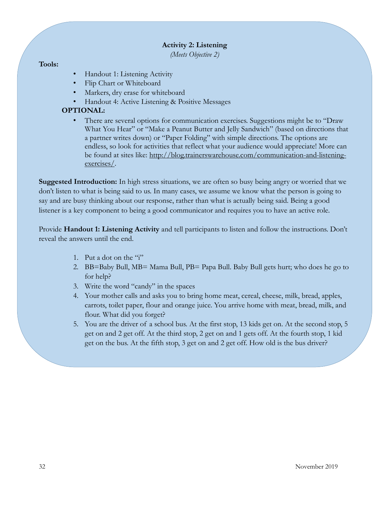#### **Activity 2: Listening**

*(Meets Objective 2)*

#### **Tools:**

- Handout 1: Listening Activity
- Flip Chart or Whiteboard
- Markers, dry erase for whiteboard
- Handout 4: Active Listening & Positive Messages

### **OPTIONAL:**

• There are several options for communication exercises. Suggestions might be to "Draw What You Hear" or "Make a Peanut Butter and Jelly Sandwich" (based on directions that a partner writes down) or "Paper Folding" with simple directions. The options are endless, so look for activities that reflect what your audience would appreciate! More can be found at sites like: [http://blog.trainerswarehouse.com/communication-and-listening](http://blog.trainerswarehouse.com/communication-and-listening-exercises/)[exercises/.](http://blog.trainerswarehouse.com/communication-and-listening-exercises/)

**Suggested Introduction:** In high stress situations, we are often so busy being angry or worried that we don't listen to what is being said to us. In many cases, we assume we know what the person is going to say and are busy thinking about our response, rather than what is actually being said. Being a good listener is a key component to being a good communicator and requires you to have an active role.

Provide **Handout 1: Listening Activity** and tell participants to listen and follow the instructions. Don't reveal the answers until the end.

- 1. Put a dot on the "i"
- 2. BB=Baby Bull, MB= Mama Bull, PB= Papa Bull. Baby Bull gets hurt; who does he go to for help?
- 3. Write the word "candy" in the spaces
- 4. Your mother calls and asks you to bring home meat, cereal, cheese, milk, bread, apples, carrots, toilet paper, flour and orange juice. You arrive home with meat, bread, milk, and flour. What did you forget?
- 5. You are the driver of a school bus. At the first stop, 13 kids get on. At the second stop, 5 get on and 2 get off. At the third stop, 2 get on and 1 gets off. At the fourth stop, 1 kid get on the bus. At the fifth stop, 3 get on and 2 get off. How old is the bus driver?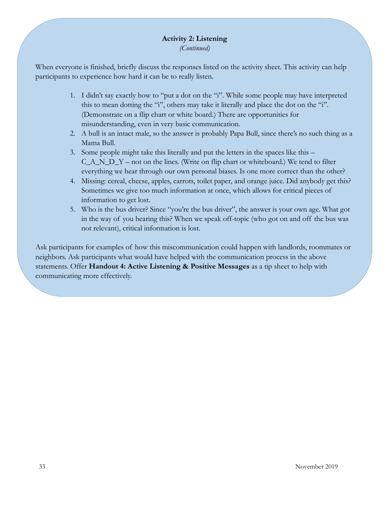## **Activity 2: Listening**

*(Continued)*

When everyone is finished, briefly discuss the responses listed on the activity sheet. This activity can help participants to experience how hard it can be to really listen.

- 1. I didn't say exactly how to "put a dot on the "i". While some people may have interpreted this to mean dotting the "i", others may take it literally and place the dot on the "i". (Demonstrate on a flip chart or white board.) There are opportunities for misunderstanding, even in very basic communication.
- 2. A bull is an intact male, so the answer is probably Papa Bull, since there's no such thing as a Mama Bull.
- 3. Some people might take this literally and put the letters in the spaces like this C\_A\_N\_D\_Y – not on the lines. (Write on flip chart or whiteboard.) We tend to filter everything we hear through our own personal biases. Is one more correct than the other?
- 4. Missing: cereal, cheese, apples, carrots, toilet paper, and orange juice. Did anybody get this? Sometimes we give too much information at once, which allows for critical pieces of information to get lost.
- 5. Who is the bus driver? Since "you're the bus driver", the answer is your own age. What got in the way of you hearing this? When we speak off-topic (who got on and off the bus was not relevant), critical information is lost.

Ask participants for examples of how this miscommunication could happen with landlords, roommates or neighbors. Ask participants what would have helped with the communication process in the above statements. Offer **Handout 4: Active Listening & Positive Messages** as a tip sheet to help with communicating more effectively.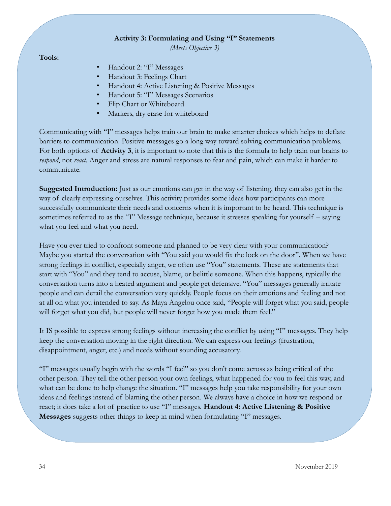#### **Activity 3: Formulating and Using "I" Statements**

*(Meets Objective 3)*

**Tools:**

- Handout 2: "I" Messages
- Handout 3: Feelings Chart
- Handout 4: Active Listening & Positive Messages
- Handout 5: "I" Messages Scenarios
- Flip Chart or Whiteboard
- Markers, dry erase for whiteboard

Communicating with "I" messages helps train our brain to make smarter choices which helps to deflate barriers to communication. Positive messages go a long way toward solving communication problems. For both options of **Activity 3**, it is important to note that this is the formula to help train our brains to *respond*, not *react*. Anger and stress are natural responses to fear and pain, which can make it harder to communicate.

**Suggested Introduction:** Just as our emotions can get in the way of listening, they can also get in the way of clearly expressing ourselves. This activity provides some ideas how participants can more successfully communicate their needs and concerns when it is important to be heard. This technique is sometimes referred to as the "I" Message technique, because it stresses speaking for yourself – saying what you feel and what you need.

Have you ever tried to confront someone and planned to be very clear with your communication? Maybe you started the conversation with "You said you would fix the lock on the door". When we have strong feelings in conflict, especially anger, we often use "You" statements. These are statements that start with "You" and they tend to accuse, blame, or belittle someone. When this happens, typically the conversation turns into a heated argument and people get defensive. "You" messages generally irritate people and can derail the conversation very quickly. People focus on their emotions and feeling and not at all on what you intended to say. As Maya Angelou once said, "People will forget what you said, people will forget what you did, but people will never forget how you made them feel."

It IS possible to express strong feelings without increasing the conflict by using "I" messages. They help keep the conversation moving in the right direction. We can express our feelings (frustration, disappointment, anger, etc.) and needs without sounding accusatory.

"I" messages usually begin with the words "I feel" so you don't come across as being critical of the other person. They tell the other person your own feelings, what happened for you to feel this way, and what can be done to help change the situation. "I" messages help you take responsibility for your own ideas and feelings instead of blaming the other person. We always have a choice in how we respond or react; it does take a lot of practice to use "I" messages. **Handout 4: Active Listening & Positive Messages** suggests other things to keep in mind when formulating "I" messages.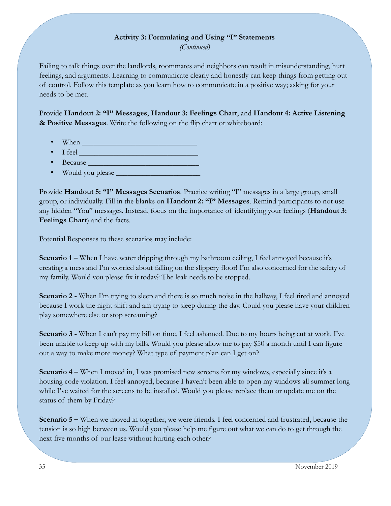#### **Activity 3: Formulating and Using "I" Statements**

*(Continued)*

Failing to talk things over the landlords, roommates and neighbors can result in misunderstanding, hurt feelings, and arguments. Learning to communicate clearly and honestly can keep things from getting out of control. Follow this template as you learn how to communicate in a positive way; asking for your needs to be met.

Provide **Handout 2: "I" Messages**, **Handout 3: Feelings Chart**, and **Handout 4: Active Listening & Positive Messages**. Write the following on the flip chart or whiteboard:

- When \_\_\_\_\_\_\_\_\_\_\_\_\_\_\_\_\_\_\_\_\_\_\_\_\_\_\_\_\_\_
- $\bullet$  I feel
- Because **Legal According to the Contract Oriental**
- Would you please \_\_\_\_\_\_\_\_\_\_\_\_\_\_\_\_\_\_\_\_\_\_

Provide **Handout 5: "I" Messages Scenarios**. Practice writing "I" messages in a large group, small group, or individually. Fill in the blanks on **Handout 2: "I" Messages**. Remind participants to not use any hidden "You" messages. Instead, focus on the importance of identifying your feelings (**Handout 3: Feelings Chart**) and the facts.

Potential Responses to these scenarios may include:

**Scenario 1 – When I have water dripping through my bathroom ceiling, I feel annoyed because it's** creating a mess and I'm worried about falling on the slippery floor! I'm also concerned for the safety of my family. Would you please fix it today? The leak needs to be stopped.

**Scenario 2** - When I'm trying to sleep and there is so much noise in the hallway, I feel tired and annoyed because I work the night shift and am trying to sleep during the day. Could you please have your children play somewhere else or stop screaming?

**Scenario 3 -** When I can't pay my bill on time, I feel ashamed. Due to my hours being cut at work, I've been unable to keep up with my bills. Would you please allow me to pay \$50 a month until I can figure out a way to make more money? What type of payment plan can I get on?

**Scenario 4 –** When I moved in, I was promised new screens for my windows, especially since it's a housing code violation. I feel annoyed, because I haven't been able to open my windows all summer long while I've waited for the screens to be installed. Would you please replace them or update me on the status of them by Friday?

**Scenario 5 – When we moved in together, we were friends. I feel concerned and frustrated, because the** tension is so high between us. Would you please help me figure out what we can do to get through the next five months of our lease without hurting each other?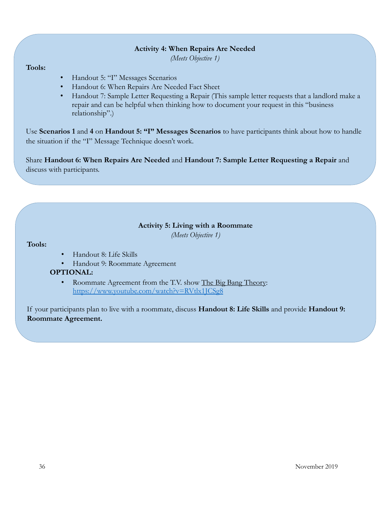#### **Activity 4: When Repairs Are Needed**

*(Meets Objective 1)*

#### **Tools:**

- Handout 5: "I" Messages Scenarios
- Handout 6: When Repairs Are Needed Fact Sheet
- Handout 7: Sample Letter Requesting a Repair (This sample letter requests that a landlord make a repair and can be helpful when thinking how to document your request in this "business relationship".)

Use **Scenarios 1** and **4** on **Handout 5: "I" Messages Scenarios** to have participants think about how to handle the situation if the "I" Message Technique doesn't work.

Share **Handout 6: When Repairs Are Needed** and **Handout 7: Sample Letter Requesting a Repair** and discuss with participants.

#### **Activity 5: Living with a Roommate**

*(Meets Objective 1)*

#### **Tools:**

- Handout 8: Life Skills
- Handout 9: Roommate Agreement
- **OPTIONAL:**
	- Roommate Agreement from the T.V. show The Big Bang Theory: <https://www.youtube.com/watch?v=RVtlx1JCSg8>

If your participants plan to live with a roommate, discuss **Handout 8: Life Skills** and provide **Handout 9: Roommate Agreement.**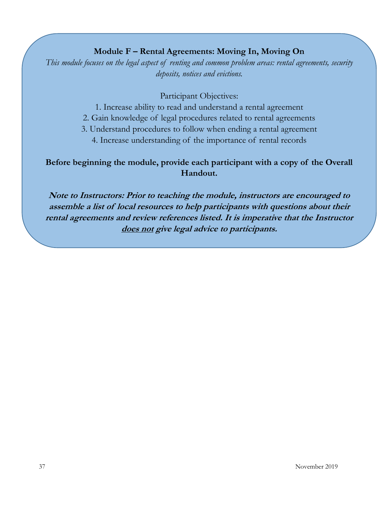## **Module F – Rental Agreements: Moving In, Moving On**

*This module focuses on the legal aspect of renting and common problem areas: rental agreements, security deposits, notices and evictions.* 

Participant Objectives:

- 1. Increase ability to read and understand a rental agreement
- 2. Gain knowledge of legal procedures related to rental agreements
- 3. Understand procedures to follow when ending a rental agreement
	- 4. Increase understanding of the importance of rental records

## **Before beginning the module, provide each participant with a copy of the Overall Handout.**

**Note to Instructors: Prior to teaching the module, instructors are encouraged to assemble a list of local resources to help participants with questions about their rental agreements and review references listed. It is imperative that the Instructor does not give legal advice to participants.**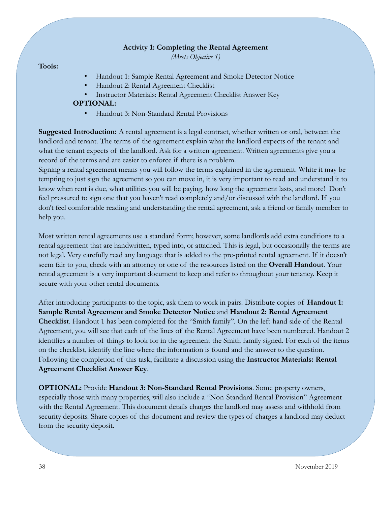#### **Activity 1: Completing the Rental Agreement**

*(Meets Objective 1)*

#### **Tools:**

- Handout 1: Sample Rental Agreement and Smoke Detector Notice
- Handout 2: Rental Agreement Checklist
- Instructor Materials: Rental Agreement Checklist Answer Key

#### **OPTIONAL:**

• Handout 3: Non-Standard Rental Provisions

**Suggested Introduction:** A rental agreement is a legal contract, whether written or oral, between the landlord and tenant. The terms of the agreement explain what the landlord expects of the tenant and what the tenant expects of the landlord. Ask for a written agreement. Written agreements give you a record of the terms and are easier to enforce if there is a problem.

Signing a rental agreement means you will follow the terms explained in the agreement. White it may be tempting to just sign the agreement so you can move in, it is very important to read and understand it to know when rent is due, what utilities you will be paying, how long the agreement lasts, and more! Don't feel pressured to sign one that you haven't read completely and/or discussed with the landlord. If you don't feel comfortable reading and understanding the rental agreement, ask a friend or family member to help you.

Most written rental agreements use a standard form; however, some landlords add extra conditions to a rental agreement that are handwritten, typed into, or attached. This is legal, but occasionally the terms are not legal. Very carefully read any language that is added to the pre-printed rental agreement. If it doesn't seem fair to you, check with an attorney or one of the resources listed on the **Overall Handout**. Your rental agreement is a very important document to keep and refer to throughout your tenancy. Keep it secure with your other rental documents.

After introducing participants to the topic, ask them to work in pairs. Distribute copies of **Handout 1: Sample Rental Agreement and Smoke Detector Notice** and **Handout 2: Rental Agreement Checklist**. Handout 1 has been completed for the "Smith family". On the left-hand side of the Rental Agreement, you will see that each of the lines of the Rental Agreement have been numbered. Handout 2 identifies a number of things to look for in the agreement the Smith family signed. For each of the items on the checklist, identify the line where the information is found and the answer to the question. Following the completion of this task, facilitate a discussion using the **Instructor Materials: Rental Agreement Checklist Answer Key**.

**OPTIONAL:** Provide **Handout 3: Non-Standard Rental Provisions**. Some property owners, especially those with many properties, will also include a "Non-Standard Rental Provision" Agreement with the Rental Agreement. This document details charges the landlord may assess and withhold from security deposits. Share copies of this document and review the types of charges a landlord may deduct from the security deposit.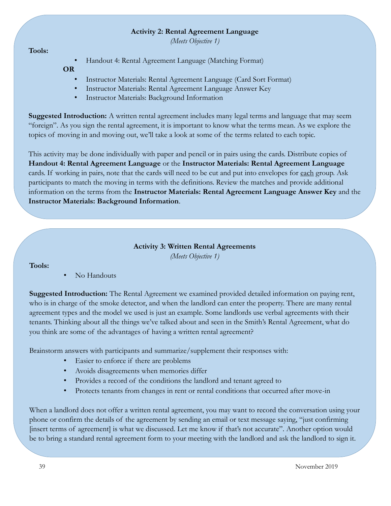#### **Activity 2: Rental Agreement Language**

*(Meets Objective 1)*

#### **Tools:**

• Handout 4: Rental Agreement Language (Matching Format)

#### **OR**

- Instructor Materials: Rental Agreement Language (Card Sort Format)
- Instructor Materials: Rental Agreement Language Answer Key
- Instructor Materials: Background Information

**Suggested Introduction:** A written rental agreement includes many legal terms and language that may seem "foreign". As you sign the rental agreement, it is important to know what the terms mean. As we explore the topics of moving in and moving out, we'll take a look at some of the terms related to each topic.

This activity may be done individually with paper and pencil or in pairs using the cards. Distribute copies of **Handout 4: Rental Agreement Language** or the **Instructor Materials: Rental Agreement Language**  cards. If working in pairs, note that the cards will need to be cut and put into envelopes for each group. Ask participants to match the moving in terms with the definitions. Review the matches and provide additional information on the terms from the **Instructor Materials: Rental Agreement Language Answer Key** and the **Instructor Materials: Background Information**.

### **Activity 3: Written Rental Agreements** *(Meets Objective 1)*

#### **Tools:**

• No Handouts

**Suggested Introduction:** The Rental Agreement we examined provided detailed information on paying rent, who is in charge of the smoke detector, and when the landlord can enter the property. There are many rental agreement types and the model we used is just an example. Some landlords use verbal agreements with their tenants. Thinking about all the things we've talked about and seen in the Smith's Rental Agreement, what do you think are some of the advantages of having a written rental agreement?

Brainstorm answers with participants and summarize/supplement their responses with:

- Easier to enforce if there are problems
- Avoids disagreements when memories differ
- Provides a record of the conditions the landlord and tenant agreed to
- Protects tenants from changes in rent or rental conditions that occurred after move-in

When a landlord does not offer a written rental agreement, you may want to record the conversation using your phone or confirm the details of the agreement by sending an email or text message saying, "just confirming [insert terms of agreement] is what we discussed. Let me know if that's not accurate". Another option would be to bring a standard rental agreement form to your meeting with the landlord and ask the landlord to sign it.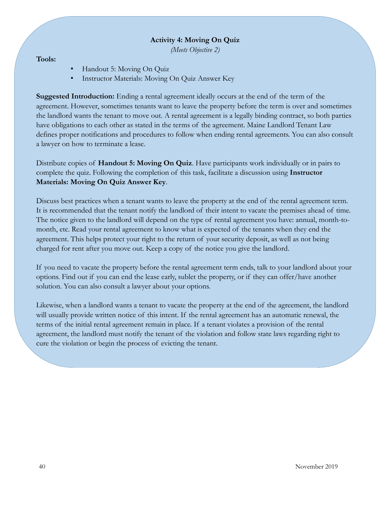#### **Activity 4: Moving On Quiz**

*(Meets Objective 2)*

#### **Tools:**

- Handout 5: Moving On Quiz
- Instructor Materials: Moving On Quiz Answer Key

**Suggested Introduction:** Ending a rental agreement ideally occurs at the end of the term of the agreement. However, sometimes tenants want to leave the property before the term is over and sometimes the landlord wants the tenant to move out. A rental agreement is a legally binding contract, so both parties have obligations to each other as stated in the terms of the agreement. Maine Landlord Tenant Law defines proper notifications and procedures to follow when ending rental agreements. You can also consult a lawyer on how to terminate a lease.

Distribute copies of **Handout 5: Moving On Quiz**. Have participants work individually or in pairs to complete the quiz. Following the completion of this task, facilitate a discussion using **Instructor Materials: Moving On Quiz Answer Key**.

Discuss best practices when a tenant wants to leave the property at the end of the rental agreement term. It is recommended that the tenant notify the landlord of their intent to vacate the premises ahead of time. The notice given to the landlord will depend on the type of rental agreement you have: annual, month-tomonth, etc. Read your rental agreement to know what is expected of the tenants when they end the agreement. This helps protect your right to the return of your security deposit, as well as not being charged for rent after you move out. Keep a copy of the notice you give the landlord.

If you need to vacate the property before the rental agreement term ends, talk to your landlord about your options. Find out if you can end the lease early, sublet the property, or if they can offer/have another solution. You can also consult a lawyer about your options.

Likewise, when a landlord wants a tenant to vacate the property at the end of the agreement, the landlord will usually provide written notice of this intent. If the rental agreement has an automatic renewal, the terms of the initial rental agreement remain in place. If a tenant violates a provision of the rental agreement, the landlord must notify the tenant of the violation and follow state laws regarding right to cure the violation or begin the process of evicting the tenant.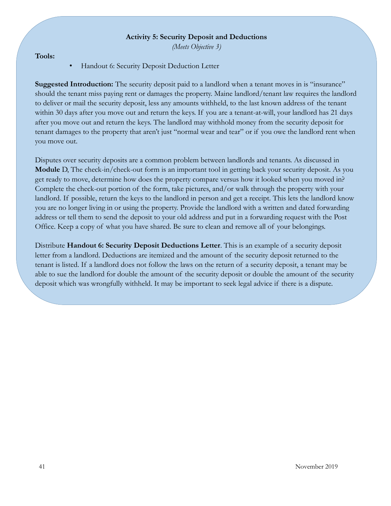#### **Activity 5: Security Deposit and Deductions**

*(Meets Objective 3)*

**Tools:**

• Handout 6: Security Deposit Deduction Letter

**Suggested Introduction:** The security deposit paid to a landlord when a tenant moves in is "insurance" should the tenant miss paying rent or damages the property. Maine landlord/tenant law requires the landlord to deliver or mail the security deposit, less any amounts withheld, to the last known address of the tenant within 30 days after you move out and return the keys. If you are a tenant-at-will, your landlord has 21 days after you move out and return the keys. The landlord may withhold money from the security deposit for tenant damages to the property that aren't just "normal wear and tear" or if you owe the landlord rent when you move out.

Disputes over security deposits are a common problem between landlords and tenants. As discussed in **Module** D, The check-in/check-out form is an important tool in getting back your security deposit. As you get ready to move, determine how does the property compare versus how it looked when you moved in? Complete the check-out portion of the form, take pictures, and/or walk through the property with your landlord. If possible, return the keys to the landlord in person and get a receipt. This lets the landlord know you are no longer living in or using the property. Provide the landlord with a written and dated forwarding address or tell them to send the deposit to your old address and put in a forwarding request with the Post Office. Keep a copy of what you have shared. Be sure to clean and remove all of your belongings.

Distribute **Handout 6: Security Deposit Deductions Letter**. This is an example of a security deposit letter from a landlord. Deductions are itemized and the amount of the security deposit returned to the tenant is listed. If a landlord does not follow the laws on the return of a security deposit, a tenant may be able to sue the landlord for double the amount of the security deposit or double the amount of the security deposit which was wrongfully withheld. It may be important to seek legal advice if there is a dispute.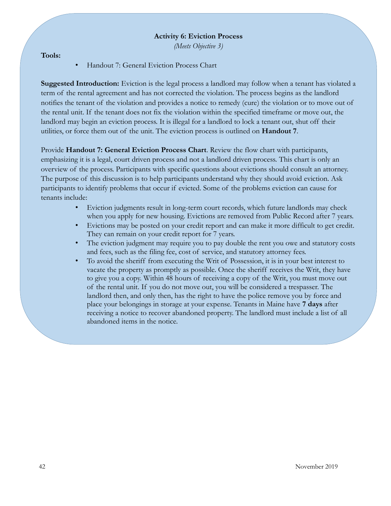#### **Activity 6: Eviction Process**

*(Meets Objective 3)*

**Tools:**

• Handout 7: General Eviction Process Chart

**Suggested Introduction:** Eviction is the legal process a landlord may follow when a tenant has violated a term of the rental agreement and has not corrected the violation. The process begins as the landlord notifies the tenant of the violation and provides a notice to remedy (cure) the violation or to move out of the rental unit. If the tenant does not fix the violation within the specified timeframe or move out, the landlord may begin an eviction process. It is illegal for a landlord to lock a tenant out, shut off their utilities, or force them out of the unit. The eviction process is outlined on **Handout 7**.

Provide **Handout 7: General Eviction Process Chart**. Review the flow chart with participants, emphasizing it is a legal, court driven process and not a landlord driven process. This chart is only an overview of the process. Participants with specific questions about evictions should consult an attorney. The purpose of this discussion is to help participants understand why they should avoid eviction. Ask participants to identify problems that occur if evicted. Some of the problems eviction can cause for tenants include:

- Eviction judgments result in long-term court records, which future landlords may check when you apply for new housing. Evictions are removed from Public Record after 7 years.
- Evictions may be posted on your credit report and can make it more difficult to get credit. They can remain on your credit report for 7 years.
- The eviction judgment may require you to pay double the rent you owe and statutory costs and fees, such as the filing fee, cost of service, and statutory attorney fees.
- To avoid the sheriff from executing the Writ of Possession, it is in your best interest to vacate the property as promptly as possible. Once the sheriff receives the Writ, they have to give you a copy. Within 48 hours of receiving a copy of the Writ, you must move out of the rental unit. If you do not move out, you will be considered a trespasser. The landlord then, and only then, has the right to have the police remove you by force and place your belongings in storage at your expense. Tenants in Maine have **7 days** after receiving a notice to recover abandoned property. The landlord must include a list of all abandoned items in the notice.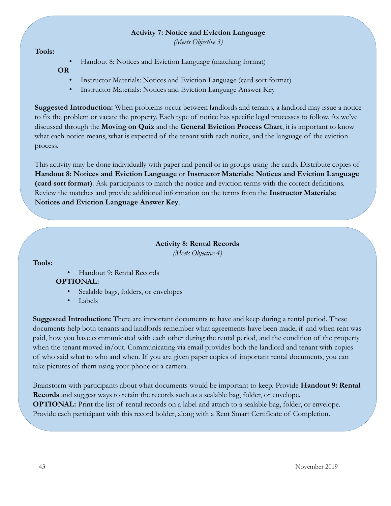#### **Activity 7: Notice and Eviction Language**

*(Meets Objective 3)*

#### **Tools:**

• Handout 8: Notices and Eviction Language (matching format)

#### **OR**

- Instructor Materials: Notices and Eviction Language (card sort format)
- Instructor Materials: Notices and Eviction Language Answer Key

**Suggested Introduction:** When problems occur between landlords and tenants, a landlord may issue a notice to fix the problem or vacate the property. Each type of notice has specific legal processes to follow. As we've discussed through the **Moving on Quiz** and the **General Eviction Process Chart**, it is important to know what each notice means, what is expected of the tenant with each notice, and the language of the eviction process.

This activity may be done individually with paper and pencil or in groups using the cards. Distribute copies of **Handout 8: Notices and Eviction Language** or **Instructor Materials: Notices and Eviction Language (card sort format)**. Ask participants to match the notice and eviction terms with the correct definitions. Review the matches and provide additional information on the terms from the **Instructor Materials: Notices and Eviction Language Answer Key**.

### **Activity 8: Rental Records** *(Meets Objective 4)*

#### **Tools:**

• Handout 9: Rental Records

## **OPTIONAL:**

- Sealable bags, folders, or envelopes
- Labels

**Suggested Introduction:** There are important documents to have and keep during a rental period. These documents help both tenants and landlords remember what agreements have been made, if and when rent was paid, how you have communicated with each other during the rental period, and the condition of the property when the tenant moved in/out. Communicating via email provides both the landlord and tenant with copies of who said what to who and when. If you are given paper copies of important rental documents, you can take pictures of them using your phone or a camera.

Brainstorm with participants about what documents would be important to keep. Provide **Handout 9: Rental Records** and suggest ways to retain the records such as a sealable bag, folder, or envelope. **OPTIONAL:** Print the list of rental records on a label and attach to a sealable bag, folder, or envelope. Provide each participant with this record holder, along with a Rent Smart Certificate of Completion.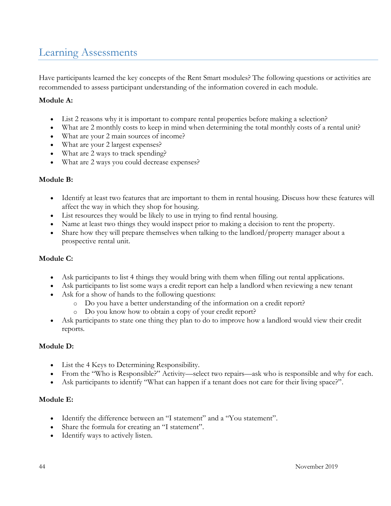## <span id="page-43-0"></span>Learning Assessments

Have participants learned the key concepts of the Rent Smart modules? The following questions or activities are recommended to assess participant understanding of the information covered in each module.

#### **Module A:**

- List 2 reasons why it is important to compare rental properties before making a selection?
- What are 2 monthly costs to keep in mind when determining the total monthly costs of a rental unit?
- What are your 2 main sources of income?
- What are your 2 largest expenses?
- What are 2 ways to track spending?
- What are 2 ways you could decrease expenses?

#### **Module B:**

- Identify at least two features that are important to them in rental housing. Discuss how these features will affect the way in which they shop for housing.
- List resources they would be likely to use in trying to find rental housing.
- Name at least two things they would inspect prior to making a decision to rent the property.
- Share how they will prepare themselves when talking to the landlord/property manager about a prospective rental unit.

#### **Module C:**

- Ask participants to list 4 things they would bring with them when filling out rental applications.
- Ask participants to list some ways a credit report can help a landlord when reviewing a new tenant
- Ask for a show of hands to the following questions:
	- o Do you have a better understanding of the information on a credit report?
	- o Do you know how to obtain a copy of your credit report?
- Ask participants to state one thing they plan to do to improve how a landlord would view their credit reports.

#### **Module D:**

- List the 4 Keys to Determining Responsibility.
- From the "Who is Responsible?" Activity—select two repairs—ask who is responsible and why for each.
- Ask participants to identify "What can happen if a tenant does not care for their living space?".

#### **Module E:**

- Identify the difference between an "I statement" and a "You statement".
- Share the formula for creating an "I statement".
- Identify ways to actively listen.